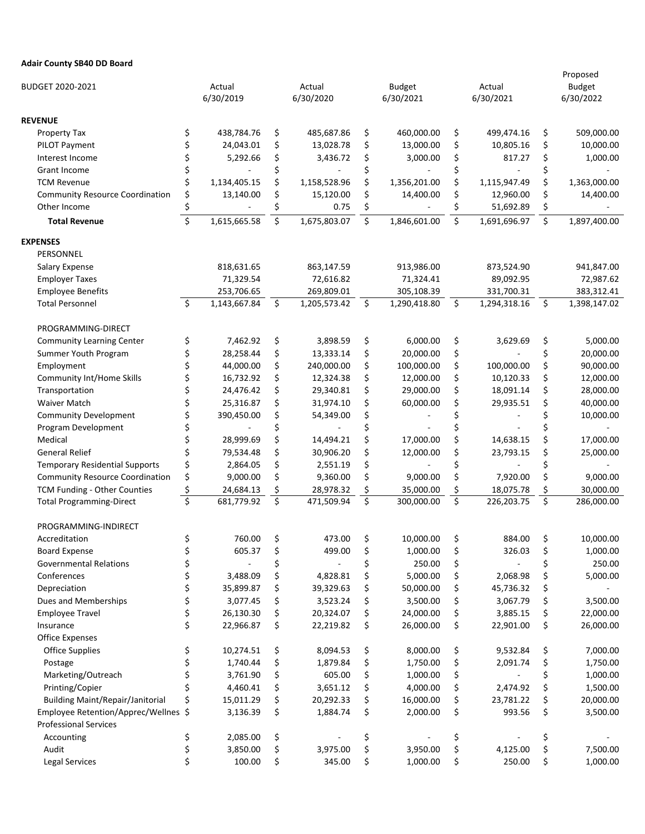## **Adair County SB40 DD Board**

| BUDGET 2020-2021                                                                |          |                        |          | Actual                 | <b>Budget</b> |                       |          | Actual                | Proposed |                            |  |
|---------------------------------------------------------------------------------|----------|------------------------|----------|------------------------|---------------|-----------------------|----------|-----------------------|----------|----------------------------|--|
|                                                                                 |          | Actual<br>6/30/2019    |          | 6/30/2020              | 6/30/2021     |                       |          | 6/30/2021             |          | <b>Budget</b><br>6/30/2022 |  |
| <b>REVENUE</b>                                                                  |          |                        |          |                        |               |                       |          |                       |          |                            |  |
| Property Tax                                                                    | \$       | 438,784.76             | \$       | 485,687.86             | \$            | 460,000.00            | \$       | 499,474.16            | \$       | 509,000.00                 |  |
| PILOT Payment                                                                   | \$       | 24,043.01              | \$       | 13,028.78              | \$            | 13,000.00             | \$       | 10,805.16             | \$       | 10,000.00                  |  |
| Interest Income                                                                 | \$       | 5,292.66               | \$       | 3,436.72               | \$            | 3,000.00              | \$       | 817.27                | \$       | 1,000.00                   |  |
| Grant Income                                                                    | \$       |                        | \$       |                        | \$            |                       | \$       |                       | \$       |                            |  |
| <b>TCM Revenue</b>                                                              | \$       | 1,134,405.15           | \$       | 1,158,528.96           | \$            | 1,356,201.00          | \$       | 1,115,947.49          | \$       | 1,363,000.00               |  |
| <b>Community Resource Coordination</b>                                          | \$       | 13,140.00              | \$       | 15,120.00              | \$            | 14,400.00             | \$       | 12,960.00             | \$       | 14,400.00                  |  |
| Other Income                                                                    | \$       |                        | \$       | 0.75                   | \$            |                       | \$       | 51,692.89             | \$       |                            |  |
| <b>Total Revenue</b>                                                            | \$       | 1,615,665.58           | \$       | 1,675,803.07           | \$            | 1,846,601.00          | \$       | 1,691,696.97          | \$       | 1,897,400.00               |  |
| EXPENSES                                                                        |          |                        |          |                        |               |                       |          |                       |          |                            |  |
| PERSONNEL                                                                       |          |                        |          |                        |               |                       |          |                       |          |                            |  |
| Salary Expense                                                                  |          | 818,631.65             |          | 863,147.59             |               | 913,986.00            |          | 873,524.90            |          | 941,847.00                 |  |
| <b>Employer Taxes</b>                                                           |          | 71,329.54              |          | 72,616.82              |               | 71,324.41             |          | 89,092.95             |          | 72,987.62                  |  |
| <b>Employee Benefits</b>                                                        |          | 253,706.65             |          | 269,809.01             |               | 305,108.39            |          | 331,700.31            |          | 383,312.41                 |  |
| <b>Total Personnel</b>                                                          | \$       | 1,143,667.84           | \$       | 1,205,573.42           | \$            | 1,290,418.80          | \$       | 1,294,318.16          | \$       | 1,398,147.02               |  |
| PROGRAMMING-DIRECT                                                              |          |                        |          |                        |               |                       |          |                       |          |                            |  |
| <b>Community Learning Center</b>                                                | \$       | 7,462.92               | \$       | 3,898.59               | \$            | 6,000.00              | \$       | 3,629.69              | \$       | 5,000.00                   |  |
| Summer Youth Program                                                            | \$       | 28,258.44              | \$       | 13,333.14              | \$            | 20,000.00             | \$       |                       | \$       | 20,000.00                  |  |
| Employment                                                                      | \$       | 44,000.00              | \$       | 240,000.00             | \$            | 100,000.00            | \$       | 100,000.00            | \$       | 90,000.00                  |  |
| Community Int/Home Skills                                                       | \$       | 16,732.92              | \$       | 12,324.38              | \$            | 12,000.00             | \$       | 10,120.33             | \$       | 12,000.00                  |  |
| Transportation                                                                  | \$       | 24,476.42              | \$       | 29,340.81              | \$            | 29,000.00             | \$       | 18,091.14             | \$       | 28,000.00                  |  |
| Waiver Match                                                                    | \$       | 25,316.87              | \$       | 31,974.10              | \$            | 60,000.00             | \$       | 29,935.51             | \$       | 40,000.00                  |  |
| <b>Community Development</b>                                                    | \$       | 390,450.00             | \$       | 54,349.00              | \$            |                       | \$       |                       | \$       | 10,000.00                  |  |
| Program Development                                                             | \$       |                        | \$       |                        | \$            |                       | \$       |                       | \$       |                            |  |
| Medical                                                                         | \$       | 28,999.69              | \$       | 14,494.21              | \$            | 17,000.00             | \$       | 14,638.15             | \$       | 17,000.00                  |  |
| <b>General Relief</b>                                                           | \$       | 79,534.48              | \$       | 30,906.20              | \$            | 12,000.00             | \$       | 23,793.15             | \$       | 25,000.00                  |  |
| <b>Temporary Residential Supports</b>                                           | \$       | 2,864.05               | \$       | 2,551.19               | \$            |                       | \$       |                       | \$       |                            |  |
| <b>Community Resource Coordination</b>                                          | \$       | 9,000.00               | \$       | 9,360.00               | \$            | 9,000.00              | \$       | 7,920.00              | \$       | 9,000.00                   |  |
| TCM Funding - Other Counties                                                    | \$       | 24,684.13              | \$       | 28,978.32              | \$            | 35,000.00             | \$       | 18,075.78             | \$       | 30,000.00                  |  |
| <b>Total Programming-Direct</b>                                                 | \$       | 681,779.92             | \$       | 471,509.94             | \$            | 300,000.00            | \$       | 226,203.75            | \$       | 286,000.00                 |  |
| PROGRAMMING-INDIRECT                                                            |          |                        |          |                        |               |                       |          |                       |          |                            |  |
| Accreditation                                                                   | \$       | 760.00                 | \$       | 473.00                 | \$            | 10,000.00             | \$       | 884.00                | \$       | 10,000.00                  |  |
|                                                                                 |          | 605.37                 |          | 499.00                 |               | 1,000.00              |          | 326.03                |          |                            |  |
| <b>Board Expense</b><br><b>Governmental Relations</b>                           | \$<br>\$ |                        | \$       |                        | \$<br>\$      | 250.00                | \$<br>\$ |                       | \$<br>\$ | 1,000.00<br>250.00         |  |
| Conferences                                                                     | \$       | 3,488.09               | \$<br>\$ | 4,828.81               | \$            | 5,000.00              | \$       | 2,068.98              | \$       | 5,000.00                   |  |
| Depreciation                                                                    | \$       | 35,899.87              | \$       | 39,329.63              | \$            | 50,000.00             | \$       | 45,736.32             | \$       |                            |  |
| Dues and Memberships                                                            | \$       | 3,077.45               | \$       | 3,523.24               | \$            | 3,500.00              | \$       | 3,067.79              | \$       | 3,500.00                   |  |
|                                                                                 | \$       |                        | \$       |                        |               | 24,000.00             | \$       |                       | \$       |                            |  |
| <b>Employee Travel</b><br>Insurance                                             | \$       | 26,130.30<br>22,966.87 | \$       | 20,324.07<br>22,219.82 | \$<br>\$      | 26,000.00             | \$       | 3,885.15<br>22,901.00 | \$       | 22,000.00<br>26,000.00     |  |
| <b>Office Expenses</b>                                                          |          |                        |          |                        |               |                       |          |                       |          |                            |  |
| <b>Office Supplies</b>                                                          | \$       | 10,274.51              | \$       | 8,094.53               | \$            | 8,000.00              | \$       | 9,532.84              | \$       | 7,000.00                   |  |
| Postage                                                                         | \$       | 1,740.44               | \$       | 1,879.84               | \$            | 1,750.00              | \$       | 2,091.74              | \$       | 1,750.00                   |  |
| Marketing/Outreach                                                              | \$       | 3,761.90               | \$       | 605.00                 | \$            | 1,000.00              | \$       |                       | \$       | 1,000.00                   |  |
| Printing/Copier                                                                 | \$       | 4,460.41               | \$       | 3,651.12               | \$            | 4,000.00              | \$       | 2,474.92              | \$       | 1,500.00                   |  |
|                                                                                 |          |                        |          |                        |               |                       |          |                       |          |                            |  |
| <b>Building Maint/Repair/Janitorial</b><br>Employee Retention/Apprec/Wellnes \$ | \$       | 15,011.29<br>3,136.39  | \$<br>\$ | 20,292.33<br>1,884.74  | \$<br>\$      | 16,000.00<br>2,000.00 | \$<br>\$ | 23,781.22<br>993.56   | \$<br>\$ | 20,000.00<br>3,500.00      |  |
| <b>Professional Services</b>                                                    |          |                        |          |                        |               |                       |          |                       |          |                            |  |
|                                                                                 |          |                        |          |                        |               |                       |          |                       |          |                            |  |
| Accounting<br>Audit                                                             | \$       | 2,085.00<br>3,850.00   | \$<br>\$ | 3,975.00               | \$<br>\$      | 3,950.00              | \$<br>\$ | 4,125.00              | \$<br>\$ | 7,500.00                   |  |
|                                                                                 | \$<br>\$ |                        |          |                        |               |                       | \$       |                       |          |                            |  |
| Legal Services                                                                  |          | 100.00                 | \$       | 345.00                 | \$            | 1,000.00              |          | 250.00                | \$       | 1,000.00                   |  |